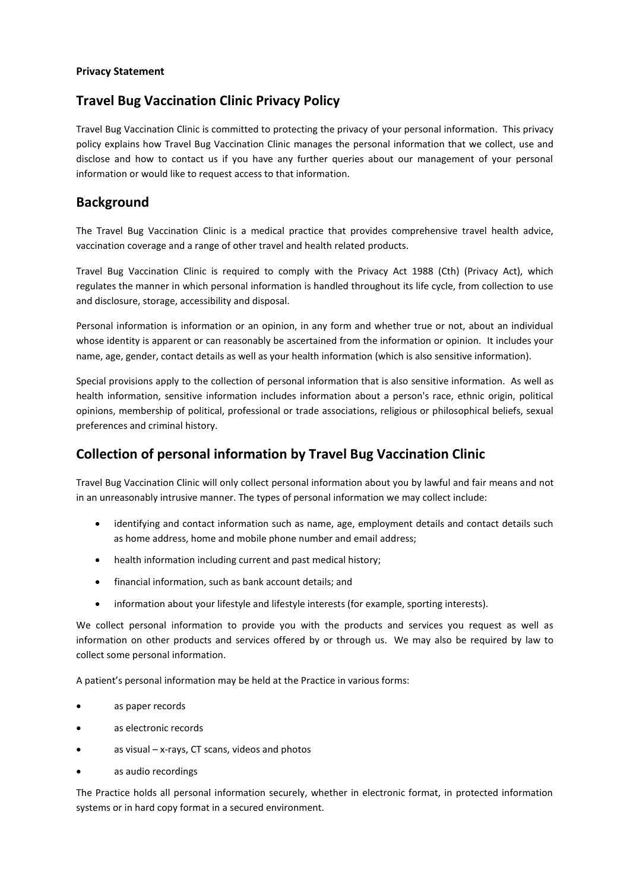#### **Privacy Statement**

### **Travel Bug Vaccination Clinic Privacy Policy**

Travel Bug Vaccination Clinic is committed to protecting the privacy of your personal information. This privacy policy explains how Travel Bug Vaccination Clinic manages the personal information that we collect, use and disclose and how to contact us if you have any further queries about our management of your personal information or would like to request access to that information.

#### **Background**

The Travel Bug Vaccination Clinic is a medical practice that provides comprehensive travel health advice, vaccination coverage and a range of other travel and health related products.

Travel Bug Vaccination Clinic is required to comply with the Privacy Act 1988 (Cth) (Privacy Act), which regulates the manner in which personal information is handled throughout its life cycle, from collection to use and disclosure, storage, accessibility and disposal.

Personal information is information or an opinion, in any form and whether true or not, about an individual whose identity is apparent or can reasonably be ascertained from the information or opinion. It includes your name, age, gender, contact details as well as your health information (which is also sensitive information).

Special provisions apply to the collection of personal information that is also sensitive information. As well as health information, sensitive information includes information about a person's race, ethnic origin, political opinions, membership of political, professional or trade associations, religious or philosophical beliefs, sexual preferences and criminal history.

## **Collection of personal information by Travel Bug Vaccination Clinic**

Travel Bug Vaccination Clinic will only collect personal information about you by lawful and fair means and not in an unreasonably intrusive manner. The types of personal information we may collect include:

- identifying and contact information such as name, age, employment details and contact details such as home address, home and mobile phone number and email address;
- health information including current and past medical history;
- financial information, such as bank account details; and
- information about your lifestyle and lifestyle interests (for example, sporting interests).

We collect personal information to provide you with the products and services you request as well as information on other products and services offered by or through us. We may also be required by law to collect some personal information.

A patient's personal information may be held at the Practice in various forms:

- as paper records
- as electronic records
- as visual x-rays, CT scans, videos and photos
- as audio recordings

The Practice holds all personal information securely, whether in electronic format, in protected information systems or in hard copy format in a secured environment.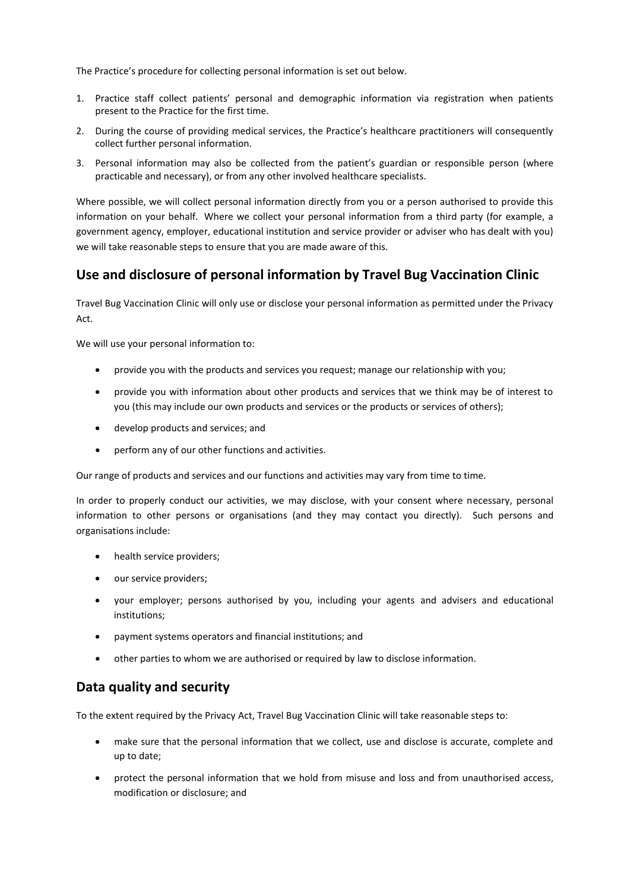The Practice's procedure for collecting personal information is set out below.

- 1. Practice staff collect patients' personal and demographic information via registration when patients present to the Practice for the first time.
- 2. During the course of providing medical services, the Practice's healthcare practitioners will consequently collect further personal information.
- 3. Personal information may also be collected from the patient's guardian or responsible person (where practicable and necessary), or from any other involved healthcare specialists.

Where possible, we will collect personal information directly from you or a person authorised to provide this information on your behalf. Where we collect your personal information from a third party (for example, a government agency, employer, educational institution and service provider or adviser who has dealt with you) we will take reasonable steps to ensure that you are made aware of this.

### **Use and disclosure of personal information by Travel Bug Vaccination Clinic**

Travel Bug Vaccination Clinic will only use or disclose your personal information as permitted under the Privacy Act.

We will use your personal information to:

- provide you with the products and services you request; manage our relationship with you;
- provide you with information about other products and services that we think may be of interest to you (this may include our own products and services or the products or services of others);
- develop products and services; and
- perform any of our other functions and activities.

Our range of products and services and our functions and activities may vary from time to time.

In order to properly conduct our activities, we may disclose, with your consent where necessary, personal information to other persons or organisations (and they may contact you directly). Such persons and organisations include:

- health service providers;
- our service providers;
- your employer; persons authorised by you, including your agents and advisers and educational institutions;
- payment systems operators and financial institutions; and
- other parties to whom we are authorised or required by law to disclose information.

#### **Data quality and security**

To the extent required by the Privacy Act, Travel Bug Vaccination Clinic will take reasonable steps to:

- make sure that the personal information that we collect, use and disclose is accurate, complete and up to date;
- protect the personal information that we hold from misuse and loss and from unauthorised access, modification or disclosure; and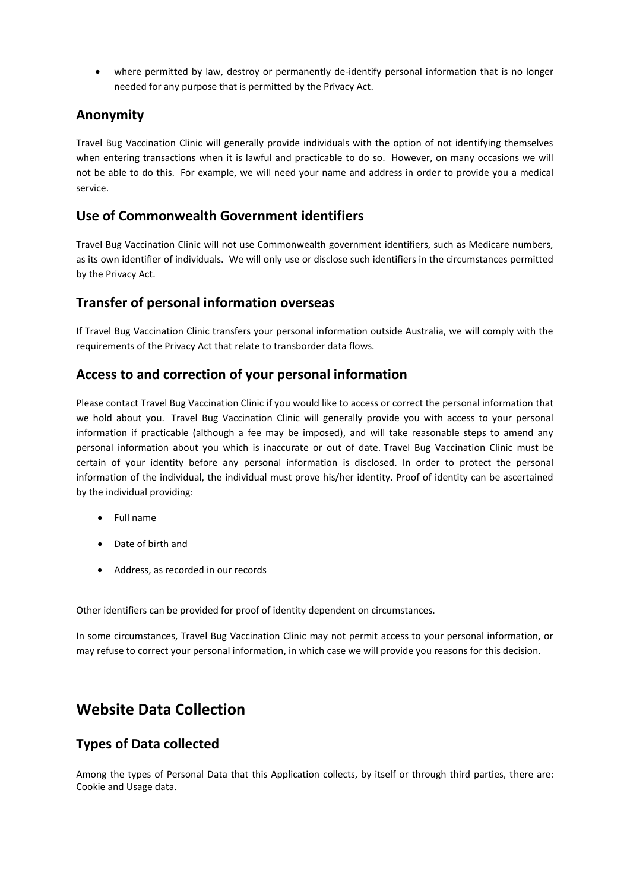where permitted by law, destroy or permanently de-identify personal information that is no longer needed for any purpose that is permitted by the Privacy Act.

#### **Anonymity**

Travel Bug Vaccination Clinic will generally provide individuals with the option of not identifying themselves when entering transactions when it is lawful and practicable to do so. However, on many occasions we will not be able to do this. For example, we will need your name and address in order to provide you a medical service.

#### **Use of Commonwealth Government identifiers**

Travel Bug Vaccination Clinic will not use Commonwealth government identifiers, such as Medicare numbers, as its own identifier of individuals. We will only use or disclose such identifiers in the circumstances permitted by the Privacy Act.

#### **Transfer of personal information overseas**

If Travel Bug Vaccination Clinic transfers your personal information outside Australia, we will comply with the requirements of the Privacy Act that relate to transborder data flows.

#### **Access to and correction of your personal information**

Please contact Travel Bug Vaccination Clinic if you would like to access or correct the personal information that we hold about you. Travel Bug Vaccination Clinic will generally provide you with access to your personal information if practicable (although a fee may be imposed), and will take reasonable steps to amend any personal information about you which is inaccurate or out of date. Travel Bug Vaccination Clinic must be certain of your identity before any personal information is disclosed. In order to protect the personal information of the individual, the individual must prove his/her identity. Proof of identity can be ascertained by the individual providing:

- Full name
- Date of birth and
- Address, as recorded in our records

Other identifiers can be provided for proof of identity dependent on circumstances.

In some circumstances, Travel Bug Vaccination Clinic may not permit access to your personal information, or may refuse to correct your personal information, in which case we will provide you reasons for this decision.

## **Website Data Collection**

#### **Types of Data collected**

Among the types of Personal Data that this Application collects, by itself or through third parties, there are: Cookie and Usage data.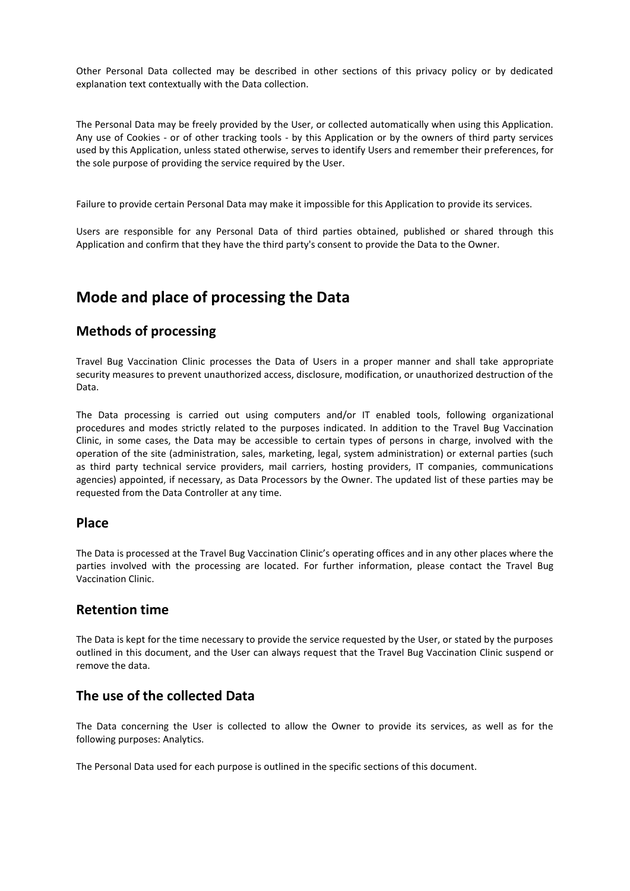Other Personal Data collected may be described in other sections of this privacy policy or by dedicated explanation text contextually with the Data collection.

The Personal Data may be freely provided by the User, or collected automatically when using this Application. Any use of Cookies - or of other tracking tools - by this Application or by the owners of third party services used by this Application, unless stated otherwise, serves to identify Users and remember their preferences, for the sole purpose of providing the service required by the User.

Failure to provide certain Personal Data may make it impossible for this Application to provide its services.

Users are responsible for any Personal Data of third parties obtained, published or shared through this Application and confirm that they have the third party's consent to provide the Data to the Owner.

# **Mode and place of processing the Data**

#### **Methods of processing**

Travel Bug Vaccination Clinic processes the Data of Users in a proper manner and shall take appropriate security measures to prevent unauthorized access, disclosure, modification, or unauthorized destruction of the Data.

The Data processing is carried out using computers and/or IT enabled tools, following organizational procedures and modes strictly related to the purposes indicated. In addition to the Travel Bug Vaccination Clinic, in some cases, the Data may be accessible to certain types of persons in charge, involved with the operation of the site (administration, sales, marketing, legal, system administration) or external parties (such as third party technical service providers, mail carriers, hosting providers, IT companies, communications agencies) appointed, if necessary, as Data Processors by the Owner. The updated list of these parties may be requested from the Data Controller at any time.

#### **Place**

The Data is processed at the Travel Bug Vaccination Clinic's operating offices and in any other places where the parties involved with the processing are located. For further information, please contact the Travel Bug Vaccination Clinic.

#### **Retention time**

The Data is kept for the time necessary to provide the service requested by the User, or stated by the purposes outlined in this document, and the User can always request that the Travel Bug Vaccination Clinic suspend or remove the data.

#### **The use of the collected Data**

The Data concerning the User is collected to allow the Owner to provide its services, as well as for the following purposes: Analytics.

The Personal Data used for each purpose is outlined in the specific sections of this document.